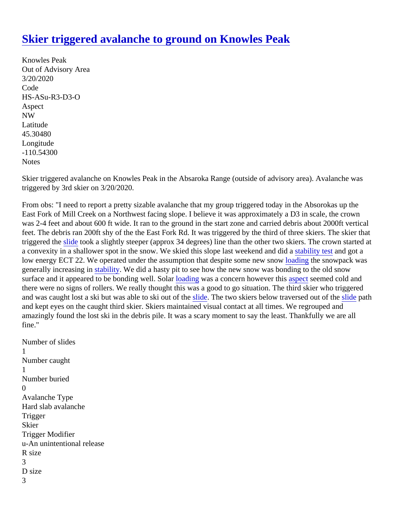## [Skier triggered avalanche to ground on Knowles Pea](https://www.mtavalanche.com/node/22486)k

Knowles Peak Out of Advisory Area 3/20/2020 Code HS-ASu-R3-D3-O Aspect NW Latitude 45.30480 Longitude -110.54300 **Notes** 

Skier triggered avalanche on Knowles Peak in the Absaroka Range (outside of advisory area). Avalanche wa triggered by 3rd skier on 3/20/2020.

From obs: "I need to report a pretty sizable avalanche that my group triggered today in the Absorokas up the East Fork of Mill Creek on a Northwest facing slope. I believe it was approximately a D3 in scale, the crown was 2-4 feet and about 600 ft wide. It ran to the ground in the start zone and carried debris about 2000ft vertic feet. The debris ran 200ft shy of the the East Fork Rd. It was triggered by the third of three skiers. The skier that triggered the lide took a slightly steeper (approx 34 degrees) line than the other two skiers. The crown started aconvexity in a shallower spot in the snow. We skied this slope last weekend and and did a stand got a low energy ECT 22. We operated under the assumption that despite some new as now pack was generally increasing [in stability](https://www.mtavalanche.com/taxonomy/term/309). We did a hasty pit to see how the new snow was bonding to the old snow surfaceand it appeared to be bonding well. Solar ling was a concern however thas pect seemed cold and there were no signs of rollers. We really thought this was a good to go situation. The third skier who triggered and was caught lost a ski but was able to ski out [of the](https://www.mtavalanche.com/taxonomy/term/305) two skiers below traversed out of thide path and kept eyes on the caught third skier. Skiers maintained visual contact at all times. We regrouped and amazingly found the lost ski in the debris pile. It was a scary moment to say the least. Thankfully we are all fine."

Number of slides 1 Number caught 1 Number buried  $\Omega$ Avalanche Type Hard slab avalanche **Trigger Skier** Trigger Modifier u-An unintentional release R size 3 D size 3